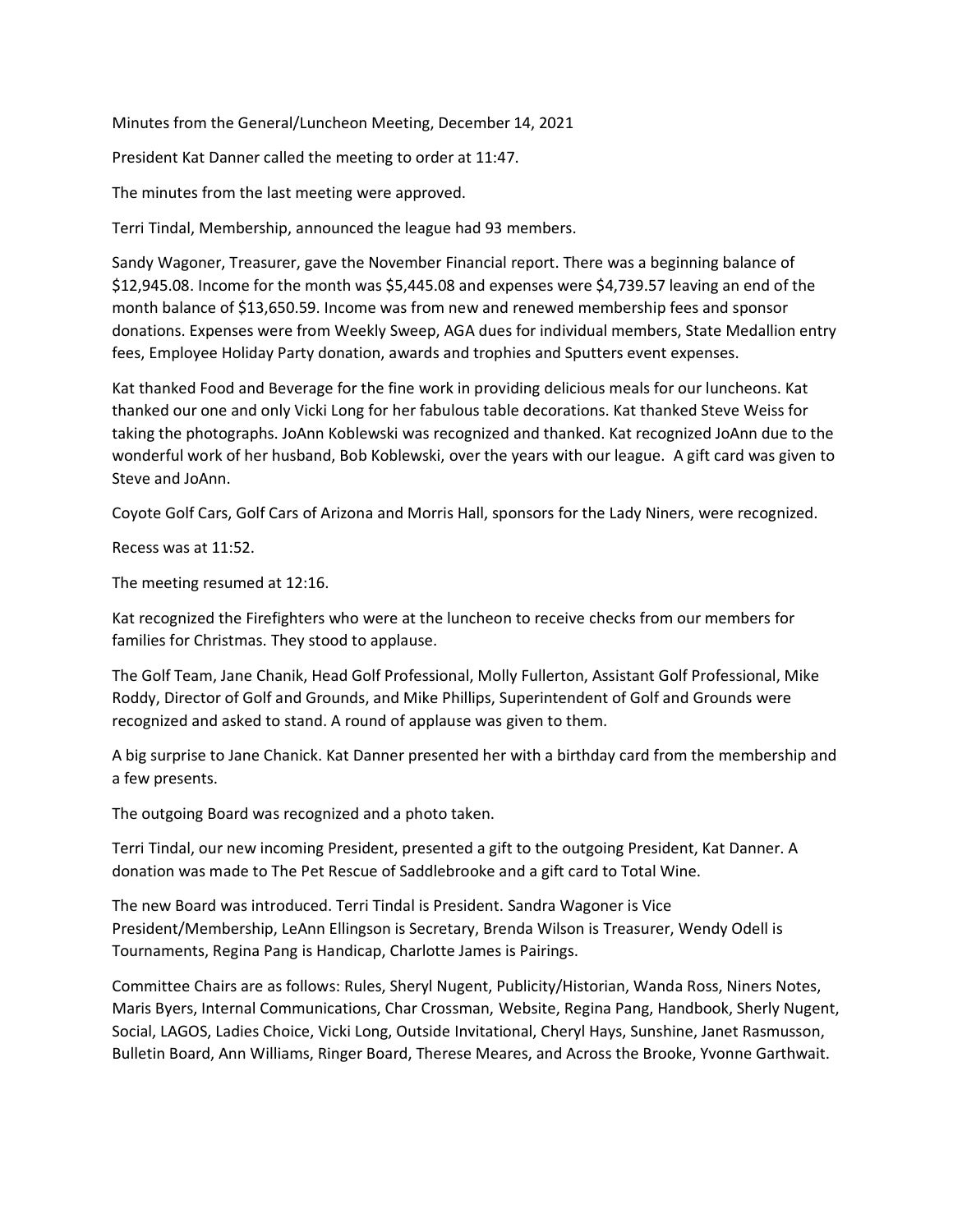Minutes from the General/Luncheon Meeting, December 14, 2021

President Kat Danner called the meeting to order at 11:47.

The minutes from the last meeting were approved.

Terri Tindal, Membership, announced the league had 93 members.

Sandy Wagoner, Treasurer, gave the November Financial report. There was a beginning balance of \$12,945.08. Income for the month was \$5,445.08 and expenses were \$4,739.57 leaving an end of the month balance of \$13,650.59. Income was from new and renewed membership fees and sponsor donations. Expenses were from Weekly Sweep, AGA dues for individual members, State Medallion entry fees, Employee Holiday Party donation, awards and trophies and Sputters event expenses.

Kat thanked Food and Beverage for the fine work in providing delicious meals for our luncheons. Kat thanked our one and only Vicki Long for her fabulous table decorations. Kat thanked Steve Weiss for taking the photographs. JoAnn Koblewski was recognized and thanked. Kat recognized JoAnn due to the wonderful work of her husband, Bob Koblewski, over the years with our league. A gift card was given to Steve and JoAnn.

Coyote Golf Cars, Golf Cars of Arizona and Morris Hall, sponsors for the Lady Niners, were recognized.

Recess was at 11:52.

The meeting resumed at 12:16.

Kat recognized the Firefighters who were at the luncheon to receive checks from our members for families for Christmas. They stood to applause.

The Golf Team, Jane Chanik, Head Golf Professional, Molly Fullerton, Assistant Golf Professional, Mike Roddy, Director of Golf and Grounds, and Mike Phillips, Superintendent of Golf and Grounds were recognized and asked to stand. A round of applause was given to them.

A big surprise to Jane Chanick. Kat Danner presented her with a birthday card from the membership and a few presents.

The outgoing Board was recognized and a photo taken.

Terri Tindal, our new incoming President, presented a gift to the outgoing President, Kat Danner. A donation was made to The Pet Rescue of Saddlebrooke and a gift card to Total Wine.

The new Board was introduced. Terri Tindal is President. Sandra Wagoner is Vice President/Membership, LeAnn Ellingson is Secretary, Brenda Wilson is Treasurer, Wendy Odell is Tournaments, Regina Pang is Handicap, Charlotte James is Pairings.

Committee Chairs are as follows: Rules, Sheryl Nugent, Publicity/Historian, Wanda Ross, Niners Notes, Maris Byers, Internal Communications, Char Crossman, Website, Regina Pang, Handbook, Sherly Nugent, Social, LAGOS, Ladies Choice, Vicki Long, Outside Invitational, Cheryl Hays, Sunshine, Janet Rasmusson, Bulletin Board, Ann Williams, Ringer Board, Therese Meares, and Across the Brooke, Yvonne Garthwait.